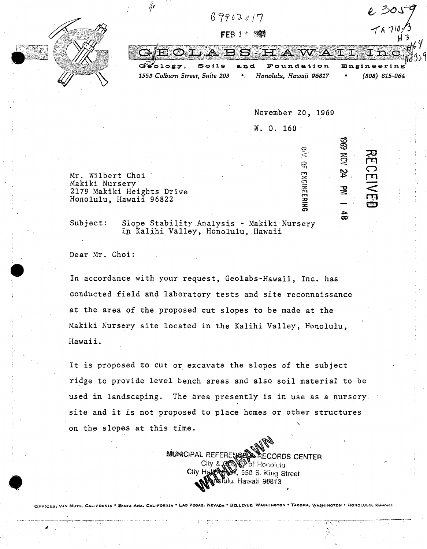

.<br>24

足

 $\frac{4}{10}$ 

**DIV. OF ENGINEERING** 

**:;u**  fT1  $\bigcirc$ **rr1**  -  $\overline{\widetilde{E}}$ 

**CD** 

Mr. Wilbert Choi Makiki Nursery 2179 Makiki Heights Drive Honolulu, Hawaii 96822

Subject: Slope Stability Analysis - Makiki Nursery in Kalihi Valley, Honolulu, Hawaii

Dear Mr. Choi:

In accordance with your request, Geolabs-Hawaii, Inc. has conducted field and laboratory tests and site reconnaissance at the area of the proposed cut slopes to be made at the Makiki Nursery site located in the Kalihi Valley, Honolulu, Hawaii.

It is proposed to cut or excavate the slopes of the subject ridge to provide level bench areas and also soil material to be used in landscaping. The area presently is in use as a nursery site and it is not proposed to place homes or other structures on the slopes at this time.

> MUNICIPAL REFERENCE CENTER.<br>City & Cancel Brecords CENTER.<br>City Half Art City Stas S. King Street olulu, Hawaii 96813

OFFICES: VAN NUYS, CALIFORNIA • SANTA ANA, CALIFORNIA • LAS VEGAS, NEVADA • BELLEVUE, WASHINGTON • TACOMA, WASHINGTON • HONOLULU, FLAWAR

 $\bullet$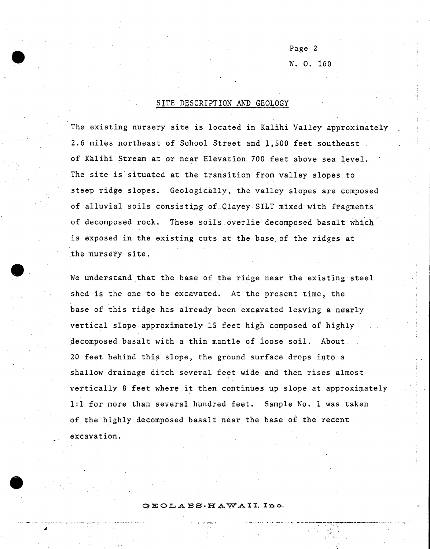Page 2 w. 0. 160

. .. :'

## SITE DESCRIPTION AND GEOLOGY

The existing nursery site is located in Kalihi Valley approximately 2.6 miles northeast of School Street and 1,500 feet southeast of Kalihi Stream at or near Elevation 700 feet above sea level. The site is situated at the transition from valley slopes.to steep ridge slopes. Geologically, the valley slopes are composed of alluvial soils consisting of .Clayey SILT mixed with fragments of decomposed rock. These soils overlie decomposed basalt which is exposed in the existing cuts at the base of the ridges at the nursery site.

We understand that the base of the ridge near the existing steel shed is the one to be excavated. At the present time, the base of this ridge has already been excavated leaving a nearly vertical slope approximately 15 feet high composed of highly decomposed basalt with a thin mantle of loose soil. About 20 feet behind this slope, the ground surface drops into a shallow drainage ditch several feet wide and then rises almost vertically 8 feet where it then continues up slope at approximately l:l for more than several hundred feet. Sample No. 1 was taken of the highly decomposed basalt near the base of the recent excavation.

## GEOLAES-HAWAII, Ino.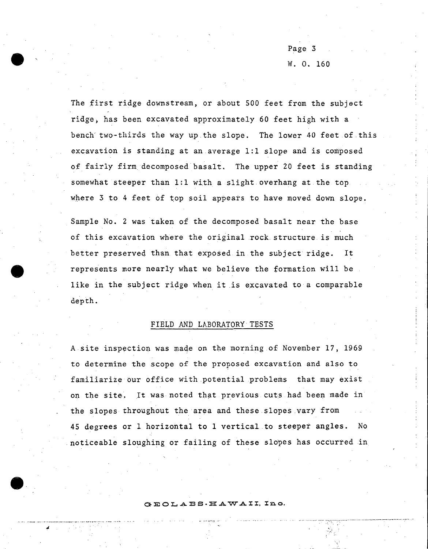Page 3 w. 0. 160

The first ridge downstream, or about 500 feet from the subject ridge, has been excavated approximately 60 feet high with a bench' two-thirds the way up.the slope. The lower 40 feet of.this excavation is standing at an average 1:1 slope and is composed of fairly firm decomposed basalt. The upper 20 feet is standing somewhat steeper than 1:1 with a slight overhang at the top. where  $3$  to  $4$  feet of top soil appears to have moved down slope.

Sample No. 2 was taken of the decomposed basalt near the base of this excavation where the original rock structure is much better preserved than that exposed in the subject ridge. It represents more nearly what we believe the formation will be like in the subject ridge when it is excavated to a comparable depth.

## FIELD AND LABORATORY TESTS

A site inspection was made on the morning of November 17, 1969 to determine the scope of the proposed excavation and also to familiarize our office with potential problems that may exist on the site. lt was noted that previous cuts had been made in the slopes throughout the area and these.slopes .vary from 45 degrees or 1 horizontal to 1 vertical to steeper angles. No .noticeable sloughing or failing of these slopes has occurred in

G E O L A B S · H A W A II. Ino.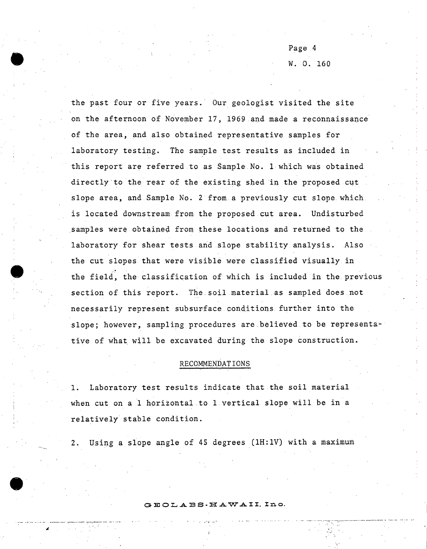Page 4 w. 0. 160

 $\mathcal{L}_{\mathcal{A}}$ 

the past four or five years. Our geologist visited the site on the afternoon of November 17, 1969 and made a reconnaissance of the area, and also obtained representative samples for laboratory testing. The sample test results as included in this report are referred to as Sample No. 1 which was obtained directly to the rear of the existing shed in the proposed cut slope area, and Sample No. 2 from. a previously cut slope. which is located downstream from the proposed cut area. Undisturbed samples were obtained from these locations and returned to the laboratory for shear tests and slope stability analysis. Also the cut slopes that were visible were classified visually in the field, the classification of which is included in the previous section of this report. The soil material as sampled does not necessarily represent subsurface conditions further into the slope; however, sampling procedures are believed to be representative of what will be excavated during the slope construction.

## RECOMMENDATIONS

1. Laboratory test results indicate that the soil material when cut on a 1 horizontal to  $1$  vertical slope will be in a relatively stable condition.

Using a slope angle of 45 degrees (1H:1V) with a maximum

 $BECLABS. HAWAIL.$  Ino.

 $+$   $\mathcal{C}$   $\mathcal{R}^{11}$   $\mathcal{R}^{12}$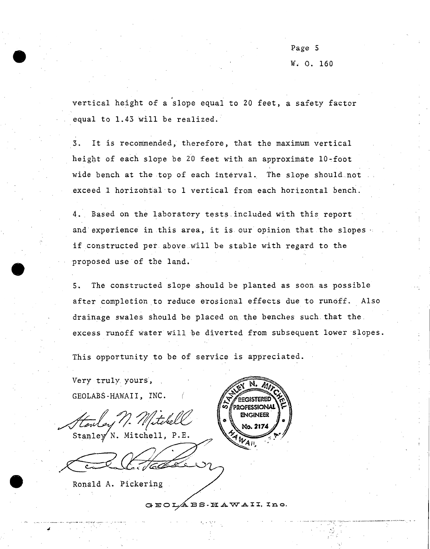Page 5 w. o. 160

. vertical height of a slope equal to 20 feet, a safety factor equal to  $1.43$  will be realized.

3. It is recommended, therefore, that the maximum vertical height of each slope be 20 feet with an approximate 10-foot wide bench at the top of each interval. The slope should not .exceed 1 horizohtal to 1 vertical from each horizontal bench.

4. Based on the laboratory tests included with this report and experience in this area, it is our opinion that the slopes if constructed per above will be stable with regard to the proposed use of the land.

5. The constructed slope should be planted as soon as possible after completion to reduce erosional effects due to runoff. Also drainage swales should be placed on the benches such.that the. excess runoff water will be diverted from subsequent lower slopes.

This opportunity to be of service is appreciated.

Very truly. yours, GEOLABS -HAWAII, INC.

Stanley N. Mitchell, P.E.

Ronald A. Pickering



GEOLABS · HAWAII, Ino.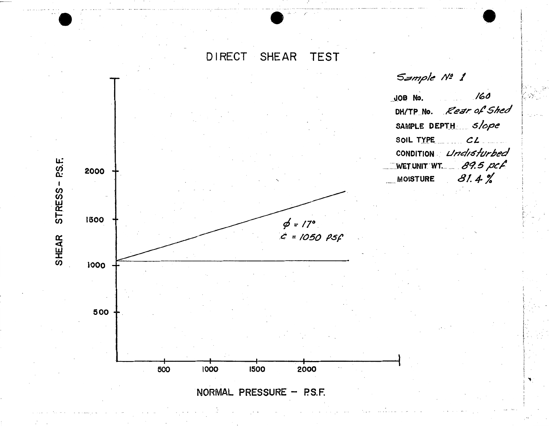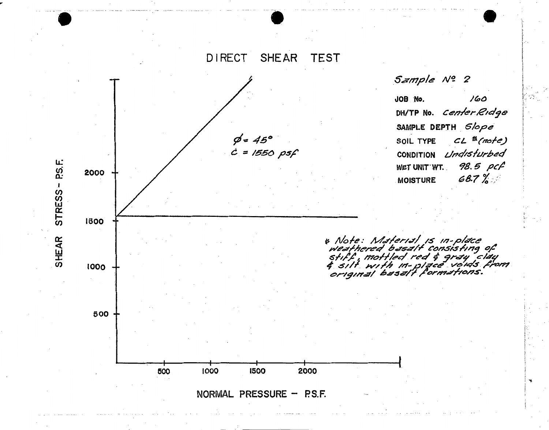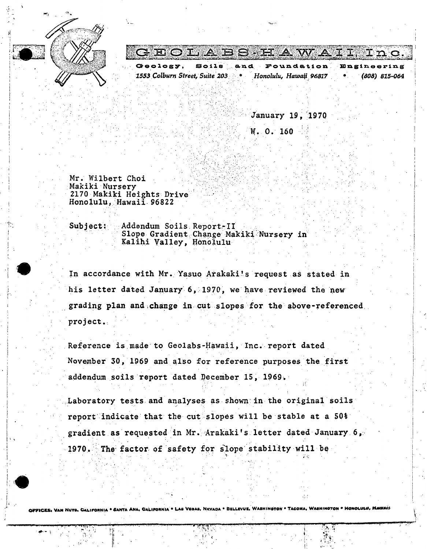

TOLABS HAWA **ET ILD** an d Foundation  $9.119$ 

Honolulu, Hawaii 96817 1553 Colburn Street, Suite 203 (808) 815-064

January 19, 1970

W. O. 160

Mr. Wilbert Choi Makiki Nurserv 2170 Makiki Heights Drive Honolulu, Hawaii 96822

Subject: Addendum Soils Report-II Slope Gradient Change Makiki Nursery in Kalihi Valley, Honolulu

In accordance with Mr. Yasuo Arakaki's request as stated in his letter dated January 6. 1970, we have reviewed the new grading plan and change in cut slopes for the above-referenced project.

Reference is made to Geolabs-Hawaii, Inc. report dated November 30, 1969 and also for reference purposes the first addendum soils report dated December 15, 1969.

Laboratory tests and analyses as shown in the original soils report indicate that the cut slopes will be stable at a 50% gradient as requested in Mr. Arakaki's letter dated January 6, 1970. The factor of safety for slope stability will be



PFICES, VAN NUYS, CALIFORNIA \* SANTA ANA, CALIFORNIA \* LAS VEGAS, NEVADA \* BELLEVUE, WASHINGTON \* TACOMA, WASHINGTON \* HONOLULU, MA